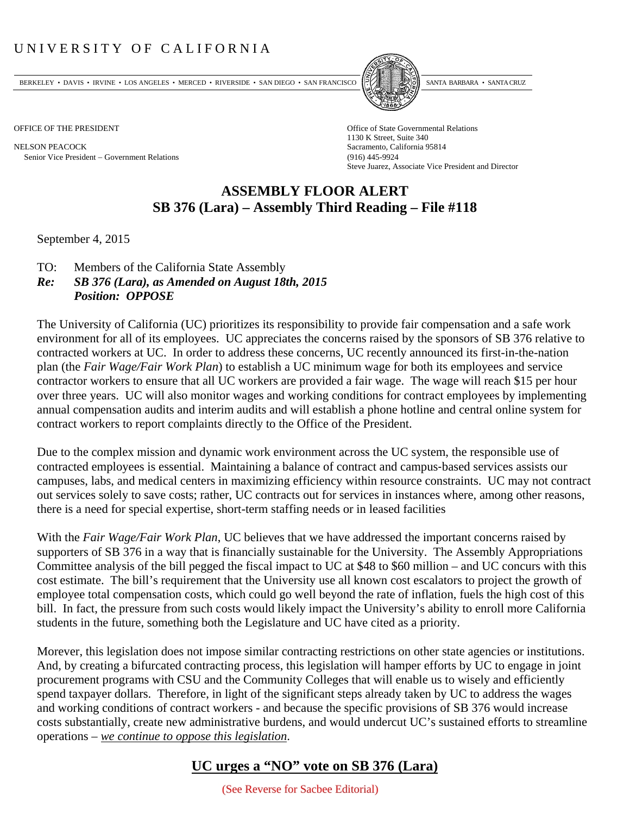## UNIVERSITY OF CALIFORNIA

BERKELEY • DAVIS • IRVINE • LOS ANGELES • MERCED • RIVERSIDE • SAN DIEGO • SAN FRANCISCO PARTA EXIMITAL BARBARA • SANTA CRUZ

NELSON PEACOCK Sacramento, California 95814 Senior Vice President Government Relations (916) 445-9924



OFFICE OF THE PRESIDENT STATES OF THE PRESIDENT 1130 K Street, Suite 340 Steve Juarez, Associate Vice President and Director

## **ASSEMBLY FLOOR ALERT SB 376 (Lara) – Assembly Third Reading – File #118**

September 4, 2015

- TO: Members of the California State Assembly
- *Re: SB 376 (Lara), as Amended on August 18th, 2015 Position: OPPOSE*

The University of California (UC) prioritizes its responsibility to provide fair compensation and a safe work environment for all of its employees. UC appreciates the concerns raised by the sponsors of SB 376 relative to contracted workers at UC. In order to address these concerns, UC recently announced its first-in-the-nation plan (the *Fair Wage/Fair Work Plan*) to establish a UC minimum wage for both its employees and service contractor workers to ensure that all UC workers are provided a fair wage. The wage will reach \$15 per hour over three years. UC will also monitor wages and working conditions for contract employees by implementing annual compensation audits and interim audits and will establish a phone hotline and central online system for contract workers to report complaints directly to the Office of the President.

Due to the complex mission and dynamic work environment across the UC system, the responsible use of contracted employees is essential. Maintaining a balance of contract and campus‐based services assists our campuses, labs, and medical centers in maximizing efficiency within resource constraints. UC may not contract out services solely to save costs; rather, UC contracts out for services in instances where, among other reasons, there is a need for special expertise, short-term staffing needs or in leased facilities

With the *Fair Wage/Fair Work Plan*, UC believes that we have addressed the important concerns raised by supporters of SB 376 in a way that is financially sustainable for the University. The Assembly Appropriations Committee analysis of the bill pegged the fiscal impact to UC at \$48 to \$60 million – and UC concurs with this cost estimate. The bill's requirement that the University use all known cost escalators to project the growth of employee total compensation costs, which could go well beyond the rate of inflation, fuels the high cost of this bill. In fact, the pressure from such costs would likely impact the University's ability to enroll more California students in the future, something both the Legislature and UC have cited as a priority.

Morever, this legislation does not impose similar contracting restrictions on other state agencies or institutions. And, by creating a bifurcated contracting process, this legislation will hamper efforts by UC to engage in joint procurement programs with CSU and the Community Colleges that will enable us to wisely and efficiently spend taxpayer dollars. Therefore, in light of the significant steps already taken by UC to address the wages and working conditions of contract workers - and because the specific provisions of SB 376 would increase costs substantially, create new administrative burdens, and would undercut UC's sustained efforts to streamline operations – *we continue to oppose this legislation*.

## **UC urges a "NO" vote on SB 376 (Lara)**